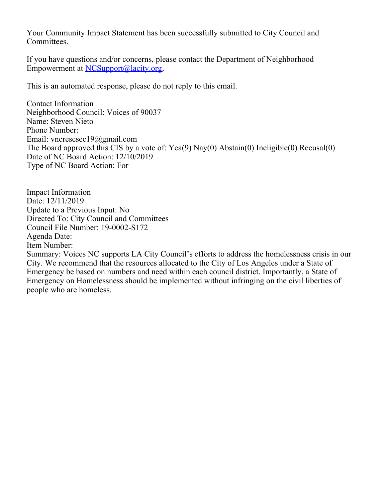Your Community Impact Statement has been successfully submitted to City Council and Committees.

If you have questions and/or concerns, please contact the Department of Neighborhood Empowerment at [NCSupport@lacity.org](mailto:NCSupport@lacity.org).

This is an automated response, please do not reply to this email.

Contact Information Neighborhood Council: Voices of 90037 Name: Steven Nieto Phone Number: Email: vncrescsec19@gmail.com The Board approved this CIS by a vote of: Yea(9) Nay(0) Abstain(0) Ineligible(0) Recusal(0) Date of NC Board Action: 12/10/2019 Type of NC Board Action: For

Impact Information Date: 12/11/2019 Update to a Previous Input: No Directed To: City Council and Committees Council File Number: 19-0002-S172 Agenda Date: Item Number:

Summary: Voices NC supports LA City Council's efforts to address the homelessness crisis in our City. We recommend that the resources allocated to the City of Los Angeles under a State of Emergency be based on numbers and need within each council district. Importantly, a State of Emergency on Homelessness should be implemented without infringing on the civil liberties of people who are homeless.